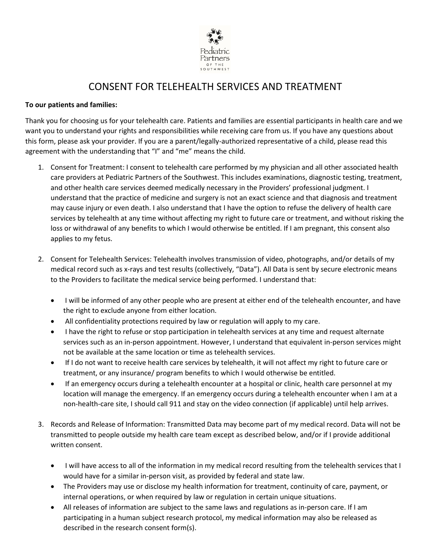

## CONSENT FOR TELEHEALTH SERVICES AND TREATMENT

## **To our patients and families:**

Thank you for choosing us for your telehealth care. Patients and families are essential participants in health care and we want you to understand your rights and responsibilities while receiving care from us. If you have any questions about this form, please ask your provider. If you are a parent/legally-authorized representative of a child, please read this agreement with the understanding that "I" and "me" means the child.

- 1. Consent for Treatment: I consent to telehealth care performed by my physician and all other associated health care providers at Pediatric Partners of the Southwest. This includes examinations, diagnostic testing, treatment, and other health care services deemed medically necessary in the Providers' professional judgment. I understand that the practice of medicine and surgery is not an exact science and that diagnosis and treatment may cause injury or even death. I also understand that I have the option to refuse the delivery of health care services by telehealth at any time without affecting my right to future care or treatment, and without risking the loss or withdrawal of any benefits to which I would otherwise be entitled. If I am pregnant, this consent also applies to my fetus.
- 2. Consent for Telehealth Services: Telehealth involves transmission of video, photographs, and/or details of my medical record such as x-rays and test results (collectively, "Data"). All Data is sent by secure electronic means to the Providers to facilitate the medical service being performed. I understand that:
	- I will be informed of any other people who are present at either end of the telehealth encounter, and have the right to exclude anyone from either location.
	- All confidentiality protections required by law or regulation will apply to my care.
	- I have the right to refuse or stop participation in telehealth services at any time and request alternate services such as an in-person appointment. However, I understand that equivalent in-person services might not be available at the same location or time as telehealth services.
	- If I do not want to receive health care services by telehealth, it will not affect my right to future care or treatment, or any insurance/ program benefits to which I would otherwise be entitled.
	- If an emergency occurs during a telehealth encounter at a hospital or clinic, health care personnel at my location will manage the emergency. If an emergency occurs during a telehealth encounter when I am at a non-health-care site, I should call 911 and stay on the video connection (if applicable) until help arrives.
- 3. Records and Release of Information: Transmitted Data may become part of my medical record. Data will not be transmitted to people outside my health care team except as described below, and/or if I provide additional written consent.
	- I will have access to all of the information in my medical record resulting from the telehealth services that I would have for a similar in-person visit, as provided by federal and state law.
	- The Providers may use or disclose my health information for treatment, continuity of care, payment, or internal operations, or when required by law or regulation in certain unique situations.
	- All releases of information are subject to the same laws and regulations as in-person care. If I am participating in a human subject research protocol, my medical information may also be released as described in the research consent form(s).